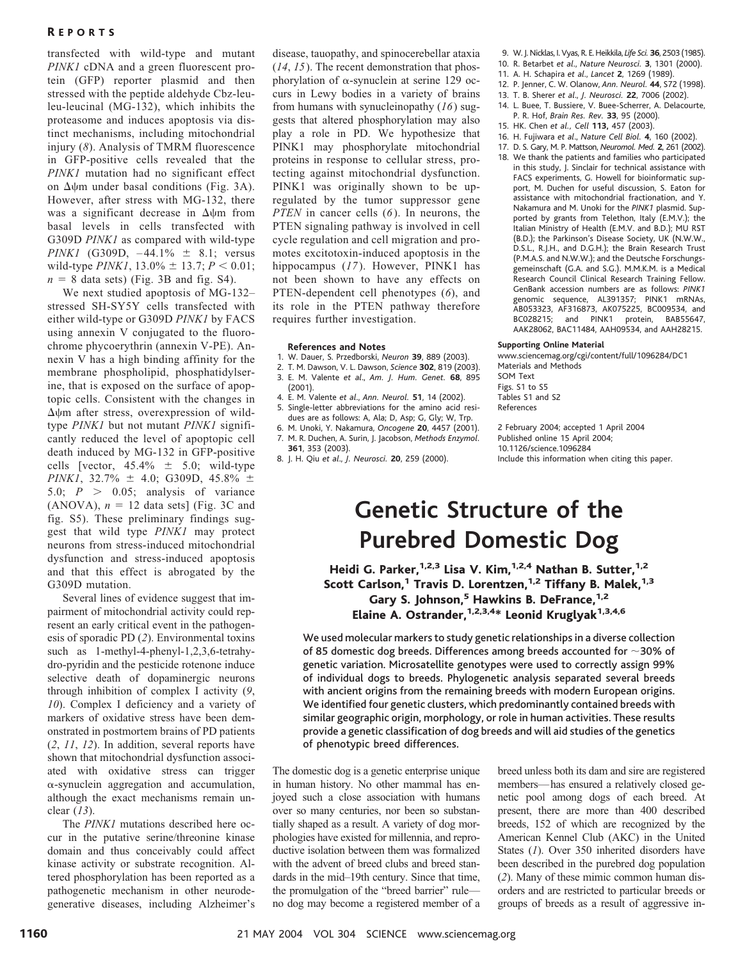# **REPORTS**

transfected with wild-type and mutant *PINK1* cDNA and a green fluorescent protein (GFP) reporter plasmid and then stressed with the peptide aldehyde Cbz-leuleu-leucinal (MG-132), which inhibits the proteasome and induces apoptosis via distinct mechanisms, including mitochondrial injury (*8*). Analysis of TMRM fluorescence in GFP-positive cells revealed that the *PINK1* mutation had no significant effect on  $\Delta \psi$ m under basal conditions (Fig. 3A). However, after stress with MG-132, there was a significant decrease in  $\Delta \psi$ m from basal levels in cells transfected with G309D *PINK1* as compared with wild-type *PINK1* (G309D,  $-44.1\% \pm 8.1$ ; versus wild-type *PINK1*,  $13.0\% \pm 13.7$ ;  $P < 0.01$ ;  $n = 8$  data sets) (Fig. 3B and fig. S4).

We next studied apoptosis of MG-132– stressed SH-SY5Y cells transfected with either wild-type or G309D *PINK1* by FACS using annexin V conjugated to the fluorochrome phycoerythrin (annexin V-PE). Annexin V has a high binding affinity for the membrane phospholipid, phosphatidylserine, that is exposed on the surface of apoptopic cells. Consistent with the changes in  $\Delta \psi$ m after stress, overexpression of wildtype *PINK1* but not mutant *PINK1* significantly reduced the level of apoptopic cell death induced by MG-132 in GFP-positive cells [vector,  $45.4\% \pm 5.0$ ; wild-type *PINK1*, 32.7%  $\pm$  4.0; G309D, 45.8%  $\pm$ 5.0;  $P > 0.05$ ; analysis of variance (ANOVA),  $n = 12$  data sets] (Fig. 3C and fig. S5). These preliminary findings suggest that wild type *PINK1* may protect neurons from stress-induced mitochondrial dysfunction and stress-induced apoptosis and that this effect is abrogated by the G309D mutation.

Several lines of evidence suggest that impairment of mitochondrial activity could represent an early critical event in the pathogenesis of sporadic PD (*2*). Environmental toxins such as 1-methyl-4-phenyl-1,2,3,6-tetrahydro-pyridin and the pesticide rotenone induce selective death of dopaminergic neurons through inhibition of complex I activity (*9*, *10*). Complex I deficiency and a variety of markers of oxidative stress have been demonstrated in postmortem brains of PD patients (*2*, *11*, *12*). In addition, several reports have shown that mitochondrial dysfunction associated with oxidative stress can trigger  $\alpha$ -synuclein aggregation and accumulation, although the exact mechanisms remain unclear (*13*).

The *PINK1* mutations described here occur in the putative serine/threonine kinase domain and thus conceivably could affect kinase activity or substrate recognition. Altered phosphorylation has been reported as a pathogenetic mechanism in other neurodegenerative diseases, including Alzheimer's disease, tauopathy, and spinocerebellar ataxia (*14*, *15*). The recent demonstration that phosphorylation of  $\alpha$ -synuclein at serine 129 occurs in Lewy bodies in a variety of brains from humans with synucleinopathy (*16*) suggests that altered phosphorylation may also play a role in PD. We hypothesize that PINK1 may phosphorylate mitochondrial proteins in response to cellular stress, protecting against mitochondrial dysfunction. PINK1 was originally shown to be upregulated by the tumor suppressor gene *PTEN* in cancer cells (*6*). In neurons, the PTEN signaling pathway is involved in cell cycle regulation and cell migration and promotes excitotoxin-induced apoptosis in the hippocampus (*17*). However, PINK1 has not been shown to have any effects on PTEN-dependent cell phenotypes (*6*), and its role in the PTEN pathway therefore requires further investigation.

#### **References and Notes**

- 1. W. Dauer, S. Przedborski, *Neuron* **39**, 889 (2003).
- 2. T. M. Dawson, V. L. Dawson, *Science* **302**, 819 (2003).
- 3. E. M. Valente *et al*., *Am. J. Hum. Genet.* **68**, 895 (2001).
- 4. E. M. Valente *et al*., *Ann. Neurol.* **51**, 14 (2002).
- 5. Single-letter abbreviations for the amino acid residues are as follows: A, Ala; D, Asp; G, Gly; W, Trp.
- 6. M. Unoki, Y. Nakamura, *Oncogene* **20**, 4457 (2001). 7. M. R. Duchen, A. Surin, J. Jacobson, *Methods Enzymol.*
- **361**, 353 (2003).
- 8. J. H. Qiu *et al*., *J. Neurosci.* **20**, 259 (2000).
- 9. W. J. Nicklas, I.Vyas, R. E.Heikkila,*Life Sci.* **36**, 2503 (1985).
- 10. R. Betarbet *et al*., *Nature Neurosci.* **3**, 1301 (2000).
- 11. A. H. Schapira *et al*., *Lancet* **2**, 1269 (1989).
- 12. P. Jenner, C. W. Olanow, *Ann. Neurol.* **44**, S72 (1998). 13. T. B. Sherer *et al*., *J. Neurosci.* **22**, 7006 (2002).
- 14. L. Buee, T. Bussiere, V. Buee-Scherrer, A. Delacourte, P. R. Hof, *Brain Res. Rev.* **33**, 95 (2000).
- 15. HK. Chen *et al., Cell* **113,** 457 (2003).
- 16. H. Fujiwara *et al*., *Nature Cell Biol.* **4**, 160 (2002).
- 17. D. S. Gary, M. P. Mattson, *Neuromol. Med.* **2**, 261 (2002).
- 18. We thank the patients and families who participated in this study, J. Sinclair for technical assistance with FACS experiments, G. Howell for bioinformatic support, M. Duchen for useful discussion, S. Eaton for assistance with mitochondrial fractionation, and Y. Nakamura and M. Unoki for the *PINK1* plasmid. Supported by grants from Telethon, Italy (E.M.V.); the Italian Ministry of Health (E.M.V. and B.D.); MU RST (B.D.); the Parkinson's Disease Society, UK (N.W.W., D.S.L., R.J.H., and D.G.H.); the Brain Research Trust (P.M.A.S. and N.W.W.); and the Deutsche Forschungsgemeinschaft (G.A. and S.G.). M.M.K.M. is a Medical Research Council Clinical Research Training Fellow. GenBank accession numbers are as follows: *PINK1* genomic sequence, AL391357; PINK1 mRNAs, AB053323, AF316873, AK075225, BC009534, and BC028215; and PINK1 protein, BAB55647, AAK28062, BAC11484, AAH09534, and AAH28215.

#### **Supporting Online Material**

www.sciencemag.org/cgi/content/full/1096284/DC1 Materials and Methods

SOM Text Figs. S1 to S5 Tables S1 and S2 References

2 February 2004; accepted 1 April 2004 Published online 15 April 2004; 10.1126/science.1096284 Include this information when citing this paper.

# **Genetic Structure of the Purebred Domestic Dog**

Heidi G. Parker,<sup>1,2,3</sup> Lisa V. Kim,<sup>1,2,4</sup> Nathan B. Sutter,<sup>1,2</sup> Scott Carlson,<sup>1</sup> Travis D. Lorentzen,<sup>1,2</sup> Tiffany B. Malek,<sup>1,3</sup> Gary S. Johnson,<sup>5</sup> Hawkins B. DeFrance,<sup>1,2</sup> Elaine A. Ostrander,<sup>1,2,3,4\*</sup> Leonid Kruglyak<sup>1,3,4,6</sup>

We used molecular markers to study genetic relationships in a diverse collection of 85 domestic dog breeds. Differences among breeds accounted for  $\sim$ 30% of genetic variation. Microsatellite genotypes were used to correctly assign 99% of individual dogs to breeds. Phylogenetic analysis separated several breeds with ancient origins from the remaining breeds with modern European origins. We identified four genetic clusters, which predominantly contained breeds with similar geographic origin, morphology, or role in human activities. These results provide a genetic classification of dog breeds and will aid studies of the genetics of phenotypic breed differences.

The domestic dog is a genetic enterprise unique in human history. No other mammal has enjoyed such a close association with humans over so many centuries, nor been so substantially shaped as a result. A variety of dog morphologies have existed for millennia, and reproductive isolation between them was formalized with the advent of breed clubs and breed standards in the mid–19th century. Since that time, the promulgation of the "breed barrier" ruleno dog may become a registered member of a breed unless both its dam and sire are registered members—has ensured a relatively closed genetic pool among dogs of each breed. At present, there are more than 400 described breeds, 152 of which are recognized by the American Kennel Club (AKC) in the United States (*1*). Over 350 inherited disorders have been described in the purebred dog population (*2*). Many of these mimic common human disorders and are restricted to particular breeds or groups of breeds as a result of aggressive in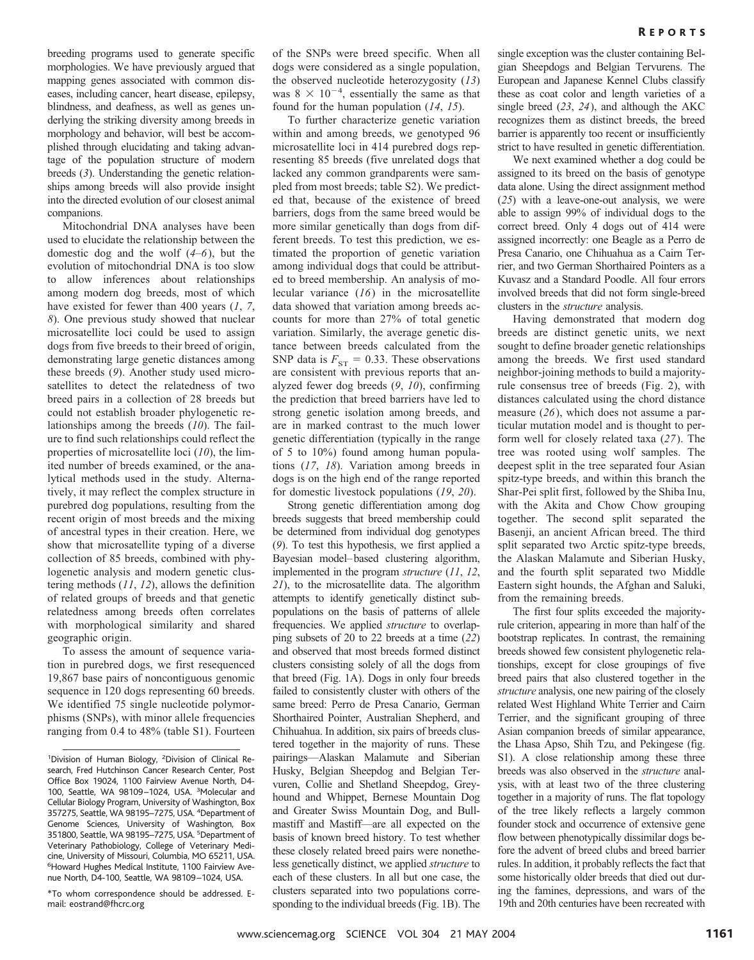breeding programs used to generate specific morphologies. We have previously argued that mapping genes associated with common diseases, including cancer, heart disease, epilepsy, blindness, and deafness, as well as genes underlying the striking diversity among breeds in morphology and behavior, will best be accomplished through elucidating and taking advantage of the population structure of modern breeds (*3*). Understanding the genetic relationships among breeds will also provide insight into the directed evolution of our closest animal companions.

Mitochondrial DNA analyses have been used to elucidate the relationship between the domestic dog and the wolf (*4*–*6*), but the evolution of mitochondrial DNA is too slow to allow inferences about relationships among modern dog breeds, most of which have existed for fewer than 400 years (*1*, *7*, *8*). One previous study showed that nuclear microsatellite loci could be used to assign dogs from five breeds to their breed of origin, demonstrating large genetic distances among these breeds (*9*). Another study used microsatellites to detect the relatedness of two breed pairs in a collection of 28 breeds but could not establish broader phylogenetic relationships among the breeds (*10*). The failure to find such relationships could reflect the properties of microsatellite loci (*10*), the limited number of breeds examined, or the analytical methods used in the study. Alternatively, it may reflect the complex structure in purebred dog populations, resulting from the recent origin of most breeds and the mixing of ancestral types in their creation. Here, we show that microsatellite typing of a diverse collection of 85 breeds, combined with phylogenetic analysis and modern genetic clustering methods (*11*, *12*), allows the definition of related groups of breeds and that genetic relatedness among breeds often correlates with morphological similarity and shared geographic origin.

To assess the amount of sequence variation in purebred dogs, we first resequenced 19,867 base pairs of noncontiguous genomic sequence in 120 dogs representing 60 breeds. We identified 75 single nucleotide polymorphisms (SNPs), with minor allele frequencies ranging from 0.4 to 48% (table S1). Fourteen of the SNPs were breed specific. When all dogs were considered as a single population, the observed nucleotide heterozygosity (*13*) was  $8 \times 10^{-4}$ , essentially the same as that found for the human population (*14*, *15*).

To further characterize genetic variation within and among breeds, we genotyped 96 microsatellite loci in 414 purebred dogs representing 85 breeds (five unrelated dogs that lacked any common grandparents were sampled from most breeds; table S2). We predicted that, because of the existence of breed barriers, dogs from the same breed would be more similar genetically than dogs from different breeds. To test this prediction, we estimated the proportion of genetic variation among individual dogs that could be attributed to breed membership. An analysis of molecular variance (*16*) in the microsatellite data showed that variation among breeds accounts for more than 27% of total genetic variation. Similarly, the average genetic distance between breeds calculated from the SNP data is  $F_{ST} = 0.33$ . These observations are consistent with previous reports that analyzed fewer dog breeds (*9*, *10*), confirming the prediction that breed barriers have led to strong genetic isolation among breeds, and are in marked contrast to the much lower genetic differentiation (typically in the range of 5 to 10%) found among human populations (*17*, *18*). Variation among breeds in dogs is on the high end of the range reported for domestic livestock populations (*19*, *20*).

Strong genetic differentiation among dog breeds suggests that breed membership could be determined from individual dog genotypes (*9*). To test this hypothesis, we first applied a Bayesian model–based clustering algorithm, implemented in the program *structure* (*11*, *12*, *21*), to the microsatellite data. The algorithm attempts to identify genetically distinct subpopulations on the basis of patterns of allele frequencies. We applied *structure* to overlapping subsets of 20 to 22 breeds at a time (*22*) and observed that most breeds formed distinct clusters consisting solely of all the dogs from that breed (Fig. 1A). Dogs in only four breeds failed to consistently cluster with others of the same breed: Perro de Presa Canario, German Shorthaired Pointer, Australian Shepherd, and Chihuahua. In addition, six pairs of breeds clustered together in the majority of runs. These pairings—Alaskan Malamute and Siberian Husky, Belgian Sheepdog and Belgian Tervuren, Collie and Shetland Sheepdog, Greyhound and Whippet, Bernese Mountain Dog and Greater Swiss Mountain Dog, and Bullmastiff and Mastiff—are all expected on the basis of known breed history. To test whether these closely related breed pairs were nonetheless genetically distinct, we applied *structure* to each of these clusters. In all but one case, the clusters separated into two populations corresponding to the individual breeds(Fig. 1B). The

single exception was the cluster containing Belgian Sheepdogs and Belgian Tervurens. The European and Japanese Kennel Clubs classify these as coat color and length varieties of a single breed (*23*, *24*), and although the AKC recognizes them as distinct breeds, the breed barrier is apparently too recent or insufficiently strict to have resulted in genetic differentiation.

We next examined whether a dog could be assigned to its breed on the basis of genotype data alone. Using the direct assignment method (*25*) with a leave-one-out analysis, we were able to assign 99% of individual dogs to the correct breed. Only 4 dogs out of 414 were assigned incorrectly: one Beagle as a Perro de Presa Canario, one Chihuahua as a Cairn Terrier, and two German Shorthaired Pointers as a Kuvasz and a Standard Poodle. All four errors involved breeds that did not form single-breed clusters in the *structure* analysis.

Having demonstrated that modern dog breeds are distinct genetic units, we next sought to define broader genetic relationships among the breeds. We first used standard neighbor-joining methods to build a majorityrule consensus tree of breeds (Fig. 2), with distances calculated using the chord distance measure (*26*), which does not assume a particular mutation model and is thought to perform well for closely related taxa (*27*). The tree was rooted using wolf samples. The deepest split in the tree separated four Asian spitz-type breeds, and within this branch the Shar-Pei split first, followed by the Shiba Inu, with the Akita and Chow Chow grouping together. The second split separated the Basenji, an ancient African breed. The third split separated two Arctic spitz-type breeds, the Alaskan Malamute and Siberian Husky, and the fourth split separated two Middle Eastern sight hounds, the Afghan and Saluki, from the remaining breeds.

The first four splits exceeded the majorityrule criterion, appearing in more than half of the bootstrap replicates. In contrast, the remaining breeds showed few consistent phylogenetic relationships, except for close groupings of five breed pairs that also clustered together in the *structure* analysis, one new pairing of the closely related West Highland White Terrier and Cairn Terrier, and the significant grouping of three Asian companion breeds of similar appearance, the Lhasa Apso, Shih Tzu, and Pekingese (fig. S1). A close relationship among these three breeds was also observed in the *structure* analysis, with at least two of the three clustering together in a majority of runs. The flat topology of the tree likely reflects a largely common founder stock and occurrence of extensive gene flow between phenotypically dissimilar dogs before the advent of breed clubs and breed barrier rules. In addition, it probably reflects the fact that some historically older breeds that died out during the famines, depressions, and wars of the 19th and 20th centuries have been recreated with

<sup>&</sup>lt;sup>1</sup>Division of Human Biology, <sup>2</sup>Division of Clinical Research, Fred Hutchinson Cancer Research Center, Post Office Box 19024, 1100 Fairview Avenue North, D4- 100, Seattle, WA 98109–1024, USA. <sup>3</sup> Molecular and Cellular Biology Program, University of Washington, Box 357275, Seattle, WA 98195–7275, USA. <sup>4</sup> Department of Genome Sciences, University of Washington, Box 351800, Seattle, WA 98195-7275, USA. <sup>5</sup>Department of Veterinary Pathobiology, College of Veterinary Medicine, University of Missouri, Columbia, MO 65211, USA. 6 Howard Hughes Medical Institute, 1100 Fairview Avenue North, D4-100, Seattle, WA 98109–1024, USA.

<sup>\*</sup>To whom correspondence should be addressed. Email: eostrand@fhcrc.org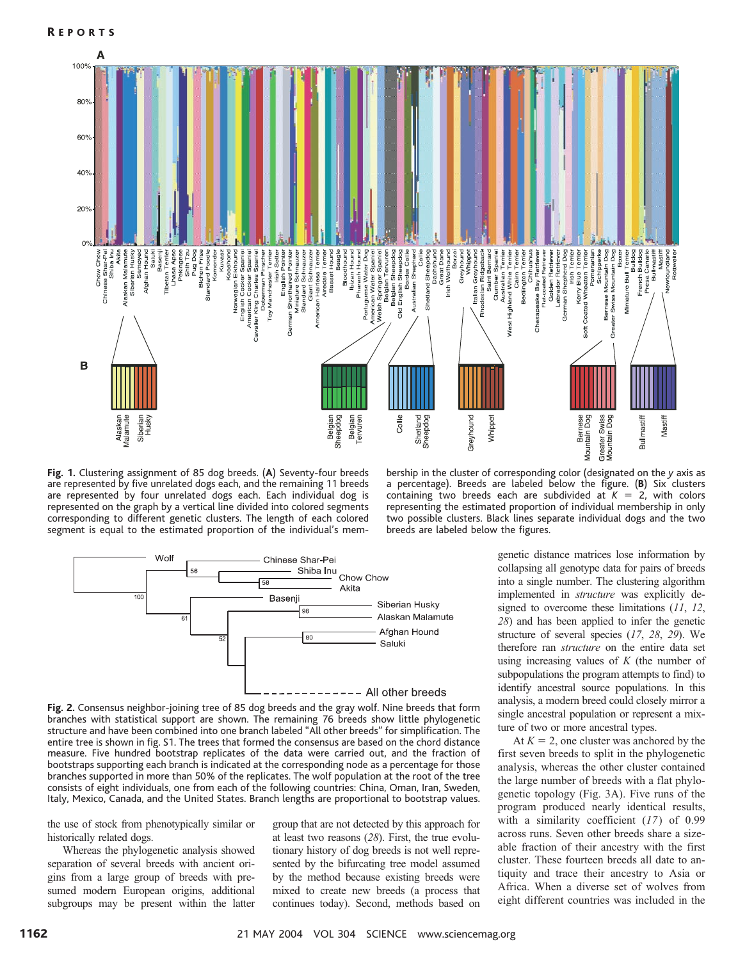

**Fig. 1.** Clustering assignment of 85 dog breeds. (**A**) Seventy-four breeds are represented by five unrelated dogs each, and the remaining 11 breeds are represented by four unrelated dogs each. Each individual dog is represented on the graph by a vertical line divided into colored segments corresponding to different genetic clusters. The length of each colored segment is equal to the estimated proportion of the individual's mem-

bership in the cluster of corresponding color (designated on the *y* axis as a percentage). Breeds are labeled below the figure. (**B**) Six clusters containing two breeds each are subdivided at  $K = 2$ , with colors representing the estimated proportion of individual membership in only two possible clusters. Black lines separate individual dogs and the two breeds are labeled below the figures.



**Fig. 2.** Consensus neighbor-joining tree of 85 dog breeds and the gray wolf. Nine breeds that form branches with statistical support are shown. The remaining 76 breeds show little phylogenetic structure and have been combined into one branch labeled "All other breeds" for simplification. The entire tree is shown in fig. S1. The trees that formed the consensus are based on the chord distance measure. Five hundred bootstrap replicates of the data were carried out, and the fraction of bootstraps supporting each branch is indicated at the corresponding node as a percentage for those branches supported in more than 50% of the replicates. The wolf population at the root of the tree consists of eight individuals, one from each of the following countries: China, Oman, Iran, Sweden, Italy, Mexico, Canada, and the United States. Branch lengths are proportional to bootstrap values.

the use of stock from phenotypically similar or historically related dogs.

Whereas the phylogenetic analysis showed separation of several breeds with ancient origins from a large group of breeds with presumed modern European origins, additional subgroups may be present within the latter

group that are not detected by this approach for at least two reasons (*28*). First, the true evolutionary history of dog breeds is not well represented by the bifurcating tree model assumed by the method because existing breeds were mixed to create new breeds (a process that continues today). Second, methods based on genetic distance matrices lose information by collapsing all genotype data for pairs of breeds into a single number. The clustering algorithm implemented in *structure* was explicitly designed to overcome these limitations (*11*, *12*, *28*) and has been applied to infer the genetic structure of several species (*17*, *28*, *29*). We therefore ran *structure* on the entire data set using increasing values of *K* (the number of subpopulations the program attempts to find) to identify ancestral source populations. In this analysis, a modern breed could closely mirror a single ancestral population or represent a mixture of two or more ancestral types.

At  $K = 2$ , one cluster was anchored by the first seven breeds to split in the phylogenetic analysis, whereas the other cluster contained the large number of breeds with a flat phylogenetic topology (Fig. 3A). Five runs of the program produced nearly identical results, with a similarity coefficient (*17*) of 0.99 across runs. Seven other breeds share a sizeable fraction of their ancestry with the first cluster. These fourteen breeds all date to antiquity and trace their ancestry to Asia or Africa. When a diverse set of wolves from eight different countries was included in the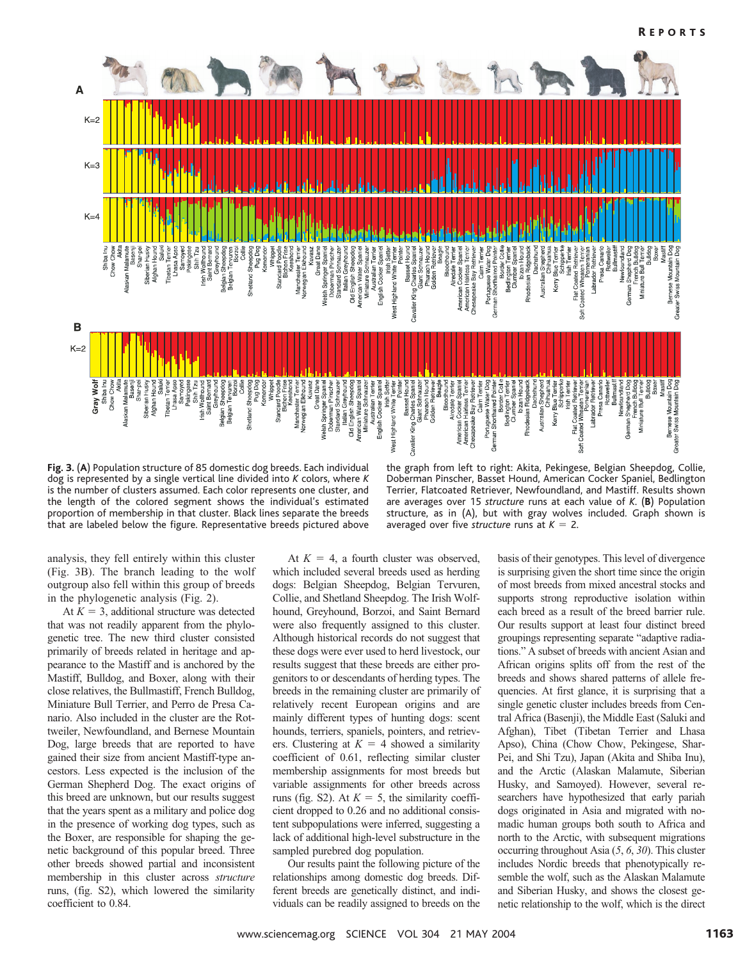

**Fig. 3.** (**A**) Population structure of 85 domestic dog breeds. Each individual dog is represented by a single vertical line divided into *K* colors, where *K* is the number of clusters assumed. Each color represents one cluster, and the length of the colored segment shows the individual's estimated proportion of membership in that cluster. Black lines separate the breeds that are labeled below the figure. Representative breeds pictured above

the graph from left to right: Akita, Pekingese, Belgian Sheepdog, Collie, Doberman Pinscher, Basset Hound, American Cocker Spaniel, Bedlington Terrier, Flatcoated Retriever, Newfoundland, and Mastiff. Results shown are averages over 15 *structure* runs at each value of *K*. (**B**) Population structure, as in (A), but with gray wolves included. Graph shown is averaged over five *structure* runs at  $K = 2$ .

analysis, they fell entirely within this cluster (Fig. 3B). The branch leading to the wolf outgroup also fell within this group of breeds in the phylogenetic analysis (Fig. 2).

At  $K = 3$ , additional structure was detected that was not readily apparent from the phylogenetic tree. The new third cluster consisted primarily of breeds related in heritage and appearance to the Mastiff and is anchored by the Mastiff, Bulldog, and Boxer, along with their close relatives, the Bullmastiff, French Bulldog, Miniature Bull Terrier, and Perro de Presa Canario. Also included in the cluster are the Rottweiler, Newfoundland, and Bernese Mountain Dog, large breeds that are reported to have gained their size from ancient Mastiff-type ancestors. Less expected is the inclusion of the German Shepherd Dog. The exact origins of this breed are unknown, but our results suggest that the years spent as a military and police dog in the presence of working dog types, such as the Boxer, are responsible for shaping the genetic background of this popular breed. Three other breeds showed partial and inconsistent membership in this cluster across *structure* runs, (fig. S2), which lowered the similarity coefficient to 0.84.

At  $K = 4$ , a fourth cluster was observed, which included several breeds used as herding dogs: Belgian Sheepdog, Belgian Tervuren, Collie, and Shetland Sheepdog. The Irish Wolfhound, Greyhound, Borzoi, and Saint Bernard were also frequently assigned to this cluster. Although historical records do not suggest that these dogs were ever used to herd livestock, our results suggest that these breeds are either progenitors to or descendants of herding types. The breeds in the remaining cluster are primarily of relatively recent European origins and are mainly different types of hunting dogs: scent hounds, terriers, spaniels, pointers, and retrievers. Clustering at  $K = 4$  showed a similarity coefficient of 0.61, reflecting similar cluster membership assignments for most breeds but variable assignments for other breeds across runs (fig. S2). At  $K = 5$ , the similarity coefficient dropped to 0.26 and no additional consistent subpopulations were inferred, suggesting a lack of additional high-level substructure in the sampled purebred dog population.

Our results paint the following picture of the relationships among domestic dog breeds. Different breeds are genetically distinct, and individuals can be readily assigned to breeds on the basis of their genotypes. This level of divergence is surprising given the short time since the origin of most breeds from mixed ancestral stocks and supports strong reproductive isolation within each breed as a result of the breed barrier rule. Our results support at least four distinct breed groupings representing separate "adaptive radiations." A subset of breeds with ancient Asian and African origins splits off from the rest of the breeds and shows shared patterns of allele frequencies. At first glance, it is surprising that a single genetic cluster includes breeds from Central Africa (Basenji), the Middle East (Saluki and Afghan), Tibet (Tibetan Terrier and Lhasa Apso), China (Chow Chow, Pekingese, Shar-Pei, and Shi Tzu), Japan (Akita and Shiba Inu), and the Arctic (Alaskan Malamute, Siberian Husky, and Samoyed). However, several researchers have hypothesized that early pariah dogs originated in Asia and migrated with nomadic human groups both south to Africa and north to the Arctic, with subsequent migrations occurring throughout Asia (*5*, *6*, *30*). This cluster includes Nordic breeds that phenotypically resemble the wolf, such as the Alaskan Malamute and Siberian Husky, and shows the closest genetic relationship to the wolf, which is the direct